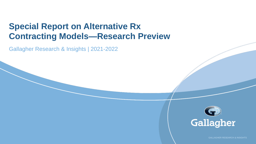# **Special Report on Alternative Rx Contracting Models—Research Preview**

Gallagher Research & Insights | 2021-2022



GALLAGHER RESEARCH & INSIGHTS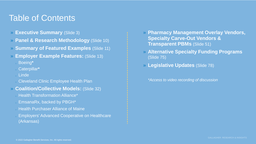# Table of Contents

- » **Executive Summary** (Slide 3)
- » **Panel & Research Methodology** (Slide 10)
- » **Summary of Featured Examples** (Slide 11)
- » **Employer Example Features:** (Slide 13)
	- <sup>o</sup> Boeing**\***
	- <sup>o</sup> Caterpillar**\***
	- <sup>o</sup> Linde
	- **Cleveland Clinic Employee Health Plan**
- » **Coalition/Collective Models:** (Slide 32)
	- **Jo Health Transformation Alliance\***
	- EmsanaRx, backed by PBGH\*
	- **J. Health Purchaser Alliance of Maine**
	- **Employers' Advanced Cooperative on Healthcare** (Arkansas)
- » **Pharmacy Management Overlay Vendors, Specialty Carve-Out Vendors & Transparent PBMs** (Slide 51)
- » **Alternative Specialty Funding Programs**  (Slide 75)
- » **Legislative Updates** (Slide 78)

*\*Access to video recording of discussion*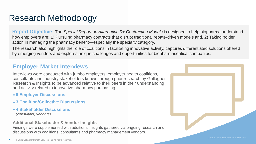# Research Methodology

**Report Objective:** The *Special Report on Alternative Rx Contracting Models* is designed to help biopharma understand how employers are: 1) Pursuing pharmacy contracts that disrupt traditional rebate-driven models and, 2) Taking bolder action in managing the pharmacy benefit—especially the specialty category.

The research also highlights the role of coalitions in facilitating innovative activity, captures differentiated solutions offered by emerging vendors and explores unique challenges and opportunities for biopharmaceutical companies.

### **Employer Market Interviews**

Interviews were conducted with jumbo employers, employer health coalitions, consultants and industry stakeholders known through prior research by Gallagher Research & Insights to be advanced relative to their peers in their understanding and activity related to innovative pharmacy purchasing.

- » **6 Employer Discussions**
- » **3 Coalition/Collective Discussions**
- » **4 Stakeholder Discussions** *(consultant, vendors)*

#### **Additional Stakeholder & Vendor Insights**

Findings were supplemented with additional insights gathered via ongoing research and discussions with coalitions, consultants and pharmacy management vendors.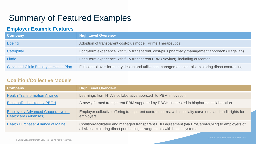# Summary of Featured Examples

### **Employer Example Features**

| Company                                      | <b>High Level Overview</b>                                                                           |
|----------------------------------------------|------------------------------------------------------------------------------------------------------|
| <b>Boeing</b>                                | Adoption of transparent cost-plus model (Prime Therapeutics)                                         |
| Caterpillar                                  | Long-term experience with fully transparent, cost-plus pharmacy management approach (Magellan)       |
| <b>Linde</b>                                 | Long-term experience with fully transparent PBM (Navitus), including outcomes                        |
| <b>Cleveland Clinic Employee Health Plan</b> | Full control over formulary design and utilization management controls; exploring direct contracting |

### **Coalition/Collective Models**

| Company                                                                   | <b>High Level Overview</b>                                                                                                                                                 |
|---------------------------------------------------------------------------|----------------------------------------------------------------------------------------------------------------------------------------------------------------------------|
| <b>Health Transformation Alliance</b>                                     | Learnings from HTA's collaborative approach to PBM innovation                                                                                                              |
| EmsanaRx, backed by PBGH                                                  | A newly formed transparent PBM supported by PBGH, interested in biopharma collaboration                                                                                    |
| <b>Employers' Advanced Cooperative on</b><br><b>Healthcare (Arkansas)</b> | Employer collective offering transparent contract terms, with specialty carve outs and audit rights for<br>employers                                                       |
| <b>Health Purchaser Alliance of Maine</b>                                 | Coalition-facilitated and managed transparent PBM agreement (via ProCare/MC-Rx) to employers of<br>all sizes; exploring direct purchasing arrangements with health systems |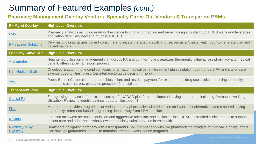# Summary of Featured Examples *(cont.)*

### **Pharmacy Management Overlay Vendors, Specialty Carve-Out Vendors & Transparent PBMs**

| <b>Rx Mgmt Overlay</b>                  | <b>High Level Overview</b>                                                                                                                                                                                      |
|-----------------------------------------|-----------------------------------------------------------------------------------------------------------------------------------------------------------------------------------------------------------------|
| <b>Evio</b>                             | Pharmacy analytics including real-word evidence to inform contracting and benefit design; funded by 5 BCBS plans and leverages<br>population data; very new and much is still TBD                               |
| <b>Rx Savings Solutions</b>             | Very fast growing; targets patient consumers to initiate therapeutic switching; serves as a "clinical watchdog" to generate plan and<br>patient savings                                                         |
| <b>Specialty Carve-Out</b>              | <b>High Level Overview</b>                                                                                                                                                                                      |
| <b>Archimedes</b>                       | Heightened utilization management via rigorous PA and tight formulary; analyzes therapeutic value across pharmacy and medical<br>benefit; offers value-framework product                                        |
| NantHealth-Eviti                        | Oncology & autoimmune condition focus; pharmacy-medical benefit treatment plan validation; point-of-care PA and site-of-care<br>savings opportunities; prescriber interface to guide decision-making            |
| Vivio                                   | Public Benefit Corporation; promotes biosimilars and restricts payment for experimental drug use; clinical modeling to identify<br>therapeutic alternatives; evaluates prescriber financial ties                |
| <b>Transparent PBM</b>                  | <b>High Level Overview</b>                                                                                                                                                                                      |
| <b>Capital Rx</b>                       | Fast growing; service is "acquisition cost plus" (NADAC plus fee); multifaceted savings approach, including Retrospective Drug<br>Utilization Review to identify savings opportunities post-fill                |
| Flipt                                   | Member app provides drug prices at various nearby pharmacies with education on lower-cost alternatives and a shared saving<br>opportunity; reference-based drug pricing; leans away from PBM moniker            |
| <b>Navitus</b>                          | Focused on lowest net-cost acquisition and aggressive formulary and exclusion lists; URAC accredited clinical model to support<br>patient care and adherence; wholly owned specialty subsidiary Lumicera Health |
| <b>RightwayRx by</b><br><b>Rightway</b> | Healthcare navigation company with a transparent PBM; member app with live pharmacist to navigate to high value drugs; offers<br>plan savings guarantees; directs to manufacturer copay assistance programs     |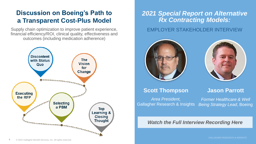### <span id="page-5-0"></span>**Discussion on Boeing's Path to a Transparent Cost-Plus Model**

Supply chain optimization to improve patient experience, financial efficiency/ROI, clinical quality, effectiveness and outcomes (including medication adherence)



### EMPLOYER STAKEHOLDER INTERVIEW *2021 Special Report on Alternative Rx Contracting Models:*



### **Scott Thompson**

*Area President,* Gallagher Research & Insights **Jason Parrott**

*Former Healthcare & Well Being Strategy Lead*, Boeing

#### *Watch the Full Interview Recording Here*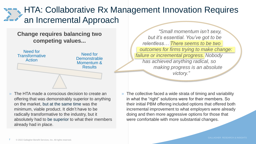# HTA: Collaborative Rx Management Innovation Requires an Incremental Approach

### **Change requires balancing two competing values...**



» The HTA made a conscious decision to create an offering that was demonstrably superior to anything on the market, but at the same time was the minimum, viable product. It didn't have to be radically transformative to the industry, but it absolutely had to be superior to what their members already had in place.

*"Small momentum isn't sexy, but it's essential. You've got to be relentless… There seems to be two outcomes for firms trying to make change: failure or incremental progress. Nobody has achieved anything radical, so making progress is an absolute victory."*

» The collective faced a wide strata of timing and variability in what the "right" solutions were for their members. So their initial PBM offering included options that offered both incremental improvement to what employers were already doing and then more aggressive options for those that were comfortable with more substantial changes.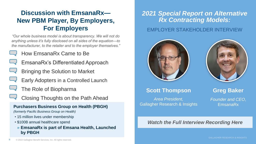## <span id="page-7-0"></span>**Discussion with EmsanaRx— New PBM Player, By Employers, For Employers**

*"Our whole business model is about transparency. We will not do anything unless it's fully disclosed on all sides of the equation—to the manufacturer, to the retailer and to the employer themselves."*

### • How EmsanaRx Came to Be

- EmsanaRx's Differentiated Approach
- Bringing the Solution to Market
- Early Adopters in a Controlled Launch
- The Role of Biopharma
- Closing Thoughts on the Path Ahead

#### **Purchasers Business Group on Health (PBGH)**

*(formerly Pacific Business Group on Health)*

- 15 million lives under membership
- \$100B annual healthcare spend
- » **EmsanaRx is part of Emsana Health, Launched by PBGH**

### *2021 Special Report on Alternative Rx Contracting Models:*

### EMPLOYER STAKEHOLDER INTERVIEW





### **Scott Thompson**

*Area President,* Gallagher Research & Insights

### **Greg Baker**

*Founder and CEO*, EmsanaRx

### *Watch the Full Interview Recording Here*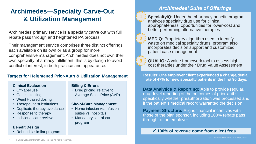### <span id="page-8-0"></span>**Archimedes—Specialty Carve-Out & Utilization Management**

Archimedes' primary service is a specialty carve out with full rebate pass through and heightened PA process.

Their management service comprises three distinct offerings, each available on its own or as a group for more comprehensive management. Archimedes does not own their own specialty pharmacy fulfillment; this is by design to avoid conflict of interest, in both practice and appearance.

### **Targets for Heightened Prior-Auth & Utilization Management Results: One employer client experienced a change/denial**

#### **Clinical Evaluation**

- Off-label use
- Genetic testing
- Weight-based dosing
- Therapeutic substitutions
- Duplicate therapy avoidance
- Response to therapy
- Individual care reviews

#### **Benefit Design**

• Robust biosimilar program

#### **Billing & Errors**

• Drug pricing, relative to Average Sales Price (AVP)

#### **Site-of-Care Management**

- Home infusion vs. infusion suites vs. hospitals
- Mandatory site-of-care program

### *Archimedes' Suite of Offerings*



**1. SpecialtyiQ:** Under the pharmacy benefit, program analyzes specialty drug use for clinical appropriateness, opportunities for lower-cost and better performing alternative therapies



**2. MEDiQ**: Proprietary algorithm used to identify waste on medical specialty drugs; program also incorporates decision support and customized patient case management



**3. QUALiQ:** A value framework tool to assess highcost therapies under their Drug Value Assessment

**rate of 47% for new specialty patients in the first 90 days.**

**Data Analytics & Reporting:** Able to provide regular, drug-level reporting of the outcomes of prior-auths, specifically whether preauthorization was processed and if the patient's medical record warranted the decision.

**Payment Structure: Aligns financial incentives with** those of the plan sponsor, including 100% rebate pass through to the employer.

#### **100% of revenue come from client fees**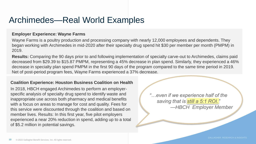# Archimedes—Real World Examples

#### **Employer Experience: Wayne Farms**

Wayne Farms is a poultry production and processing company with nearly 12,000 employees and dependents. They began working with Archimedes in mid-2020 after their specialty drug spend hit \$30 per member per month (PMPM) in 2019.

**Results:** Comparing the 90 days prior to and following implementation of specialty carve-out to Archimedes, claims paid decreased from \$29.39 to \$15.87 PMPM, representing a 45% decrease in plan spend. Similarly, they experienced a 46% decrease in specialty plan spend PMPM in the first 90 days of the program compared to the same time period in 2019. Net of post-period program fees, Wayne Farms experienced a 37% decrease.

#### **Coalition Experience: Houston Business Coalition on Health**

In 2018, HBCH engaged Archimedes to perform an employerspecific analysis of specialty drug spend to identify waste and inappropriate use across both pharmacy and medical benefits with a focus on areas to manage for cost and quality. Fees for this service were discounted through the coalition and based on member lives. Results: In this first year, five pilot employers experienced a near 20% reduction in spend, adding up to a total of \$5.2 million in potential savings.

*"…even if we experience half of the saving that is still a 5:1 ROI." —HBCH Employer Member*